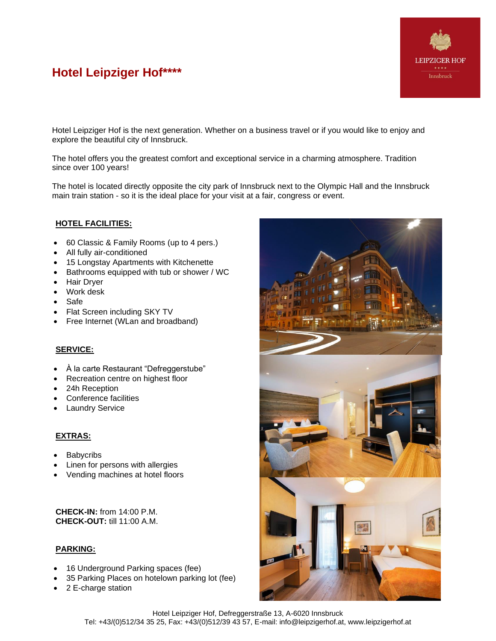# **Hotel Leipziger Hof\*\*\*\***



Hotel Leipziger Hof is the next generation. Whether on a business travel or if you would like to enjoy and explore the beautiful city of Innsbruck.

The hotel offers you the greatest comfort and exceptional service in a charming atmosphere. Tradition since over 100 years!

The hotel is located directly opposite the city park of Innsbruck next to the Olympic Hall and the Innsbruck main train station - so it is the ideal place for your visit at a fair, congress or event.

# **HOTEL FACILITIES:**

- 60 Classic & Family Rooms (up to 4 pers.)
- All fully air-conditioned
- 15 Longstay Apartments with Kitchenette
- Bathrooms equipped with tub or shower / WC
- Hair Dryer
- Work desk
- Safe
- Flat Screen including SKY TV
- Free Internet (WLan and broadband)

# **SERVICE:**

- À la carte Restaurant "Defreggerstube"
- Recreation centre on highest floor
- 24h Reception
- Conference facilities
- **Laundry Service**

### **EXTRAS:**

- **Babycribs**
- Linen for persons with allergies
- Vending machines at hotel floors

**CHECK-IN:** from 14:00 P.M. **CHECK-OUT:** till 11:00 A.M.

### **PARKING:**

- 16 Underground Parking spaces (fee)
- 35 Parking Places on hotelown parking lot (fee)
- 2 E-charge station